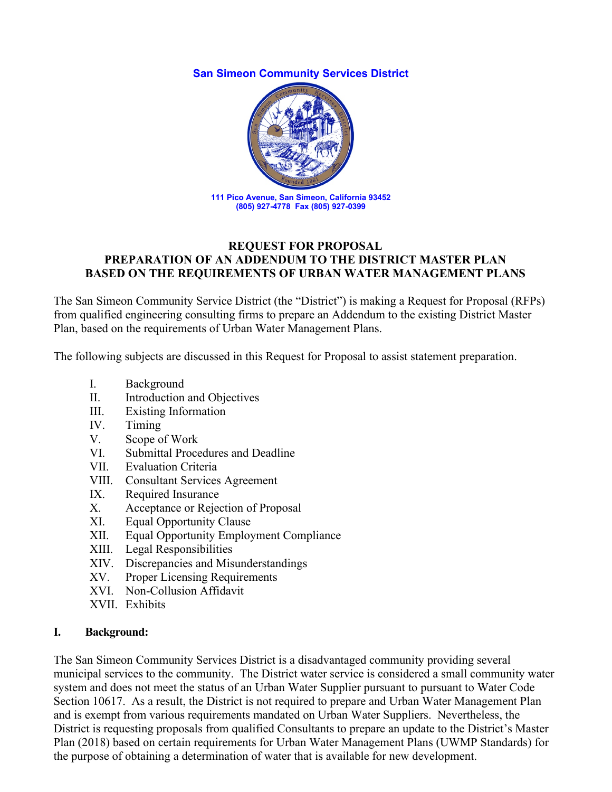#### **San Simeon Community Services District**



#### **REQUEST FOR PROPOSAL PREPARATION OF AN ADDENDUM TO THE DISTRICT MASTER PLAN BASED ON THE REQUIREMENTS OF URBAN WATER MANAGEMENT PLANS**

The San Simeon Community Service District (the "District") is making a Request for Proposal (RFPs) from qualified engineering consulting firms to prepare an Addendum to the existing District Master Plan, based on the requirements of Urban Water Management Plans.

The following subjects are discussed in this Request for Proposal to assist statement preparation.

- I. Background
- II. Introduction and Objectives
- III. Existing Information
- IV. Timing
- V. Scope of Work
- VI. Submittal Procedures and Deadline
- VII. Evaluation Criteria
- VIII. Consultant Services Agreement
- IX. Required Insurance
- X. Acceptance or Rejection of Proposal
- XI. Equal Opportunity Clause
- XII. Equal Opportunity Employment Compliance
- XIII. Legal Responsibilities
- XIV. Discrepancies and Misunderstandings
- XV. Proper Licensing Requirements
- XVI. Non-Collusion Affidavit
- XVII. Exhibits

#### **I. Background:**

The San Simeon Community Services District is a disadvantaged community providing several municipal services to the community. The District water service is considered a small community water system and does not meet the status of an Urban Water Supplier pursuant to pursuant to Water Code Section 10617. As a result, the District is not required to prepare and Urban Water Management Plan and is exempt from various requirements mandated on Urban Water Suppliers. Nevertheless, the District is requesting proposals from qualified Consultants to prepare an update to the District's Master Plan (2018) based on certain requirements for Urban Water Management Plans (UWMP Standards) for the purpose of obtaining a determination of water that is available for new development.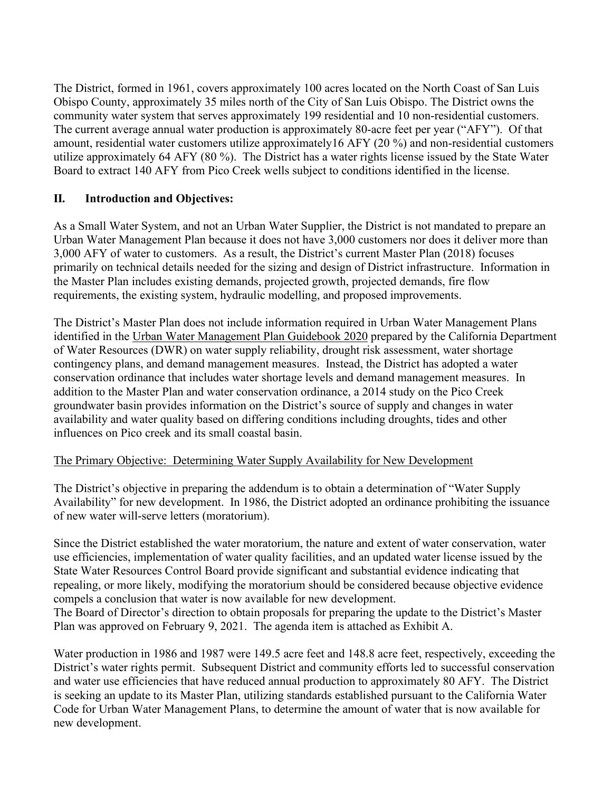The District, formed in 1961, covers approximately 100 acres located on the North Coast of San Luis Obispo County, approximately 35 miles north of the City of San Luis Obispo. The District owns the community water system that serves approximately 199 residential and 10 non-residential customers. The current average annual water production is approximately 80-acre feet per year ("AFY"). Of that amount, residential water customers utilize approximately16 AFY (20 %) and non-residential customers utilize approximately 64 AFY (80 %). The District has a water rights license issued by the State Water Board to extract 140 AFY from Pico Creek wells subject to conditions identified in the license.

# **II. Introduction and Objectives:**

As a Small Water System, and not an Urban Water Supplier, the District is not mandated to prepare an Urban Water Management Plan because it does not have 3,000 customers nor does it deliver more than 3,000 AFY of water to customers. As a result, the District's current Master Plan (2018) focuses primarily on technical details needed for the sizing and design of District infrastructure. Information in the Master Plan includes existing demands, projected growth, projected demands, fire flow requirements, the existing system, hydraulic modelling, and proposed improvements.

The District's Master Plan does not include information required in Urban Water Management Plans identified in the Urban Water Management Plan Guidebook 2020 prepared by the California Department of Water Resources (DWR) on water supply reliability, drought risk assessment, water shortage contingency plans, and demand management measures. Instead, the District has adopted a water conservation ordinance that includes water shortage levels and demand management measures. In addition to the Master Plan and water conservation ordinance, a 2014 study on the Pico Creek groundwater basin provides information on the District's source of supply and changes in water availability and water quality based on differing conditions including droughts, tides and other influences on Pico creek and its small coastal basin.

### The Primary Objective: Determining Water Supply Availability for New Development

The District's objective in preparing the addendum is to obtain a determination of "Water Supply Availability" for new development. In 1986, the District adopted an ordinance prohibiting the issuance of new water will-serve letters (moratorium).

Since the District established the water moratorium, the nature and extent of water conservation, water use efficiencies, implementation of water quality facilities, and an updated water license issued by the State Water Resources Control Board provide significant and substantial evidence indicating that repealing, or more likely, modifying the moratorium should be considered because objective evidence compels a conclusion that water is now available for new development.

The Board of Director's direction to obtain proposals for preparing the update to the District's Master Plan was approved on February 9, 2021. The agenda item is attached as Exhibit A.

Water production in 1986 and 1987 were 149.5 acre feet and 148.8 acre feet, respectively, exceeding the District's water rights permit. Subsequent District and community efforts led to successful conservation and water use efficiencies that have reduced annual production to approximately 80 AFY. The District is seeking an update to its Master Plan, utilizing standards established pursuant to the California Water Code for Urban Water Management Plans, to determine the amount of water that is now available for new development.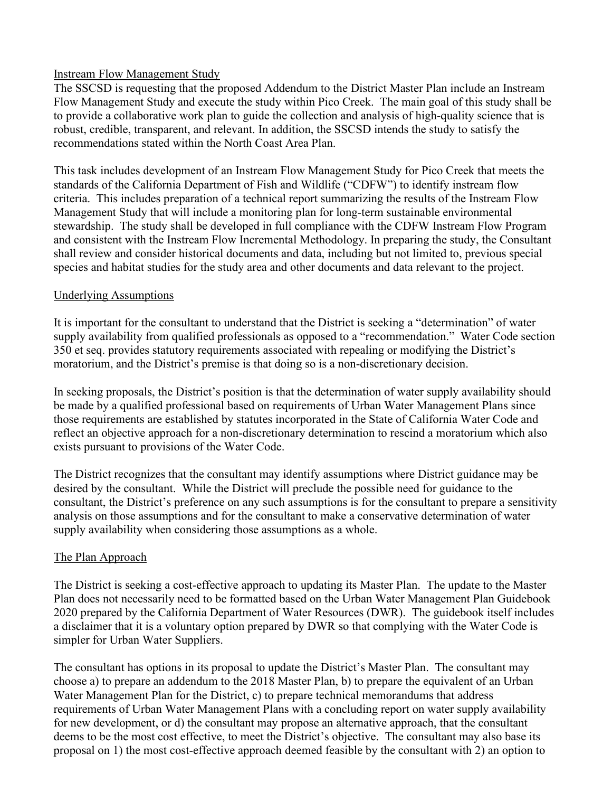### Instream Flow Management Study

The SSCSD is requesting that the proposed Addendum to the District Master Plan include an Instream Flow Management Study and execute the study within Pico Creek. The main goal of this study shall be to provide a collaborative work plan to guide the collection and analysis of high-quality science that is robust, credible, transparent, and relevant. In addition, the SSCSD intends the study to satisfy the recommendations stated within the North Coast Area Plan.

This task includes development of an Instream Flow Management Study for Pico Creek that meets the standards of the California Department of Fish and Wildlife ("CDFW") to identify instream flow criteria. This includes preparation of a technical report summarizing the results of the Instream Flow Management Study that will include a monitoring plan for long-term sustainable environmental stewardship. The study shall be developed in full compliance with the CDFW Instream Flow Program and consistent with the Instream Flow Incremental Methodology. In preparing the study, the Consultant shall review and consider historical documents and data, including but not limited to, previous special species and habitat studies for the study area and other documents and data relevant to the project.

### Underlying Assumptions

It is important for the consultant to understand that the District is seeking a "determination" of water supply availability from qualified professionals as opposed to a "recommendation." Water Code section 350 et seq. provides statutory requirements associated with repealing or modifying the District's moratorium, and the District's premise is that doing so is a non-discretionary decision.

In seeking proposals, the District's position is that the determination of water supply availability should be made by a qualified professional based on requirements of Urban Water Management Plans since those requirements are established by statutes incorporated in the State of California Water Code and reflect an objective approach for a non-discretionary determination to rescind a moratorium which also exists pursuant to provisions of the Water Code.

The District recognizes that the consultant may identify assumptions where District guidance may be desired by the consultant. While the District will preclude the possible need for guidance to the consultant, the District's preference on any such assumptions is for the consultant to prepare a sensitivity analysis on those assumptions and for the consultant to make a conservative determination of water supply availability when considering those assumptions as a whole.

### The Plan Approach

The District is seeking a cost-effective approach to updating its Master Plan. The update to the Master Plan does not necessarily need to be formatted based on the Urban Water Management Plan Guidebook 2020 prepared by the California Department of Water Resources (DWR). The guidebook itself includes a disclaimer that it is a voluntary option prepared by DWR so that complying with the Water Code is simpler for Urban Water Suppliers.

The consultant has options in its proposal to update the District's Master Plan. The consultant may choose a) to prepare an addendum to the 2018 Master Plan, b) to prepare the equivalent of an Urban Water Management Plan for the District, c) to prepare technical memorandums that address requirements of Urban Water Management Plans with a concluding report on water supply availability for new development, or d) the consultant may propose an alternative approach, that the consultant deems to be the most cost effective, to meet the District's objective. The consultant may also base its proposal on 1) the most cost-effective approach deemed feasible by the consultant with 2) an option to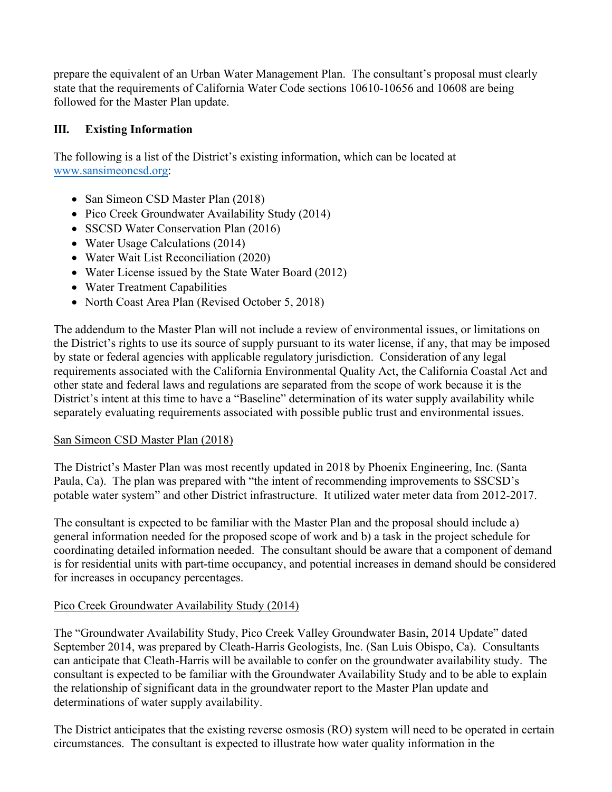prepare the equivalent of an Urban Water Management Plan. The consultant's proposal must clearly state that the requirements of California Water Code sections 10610-10656 and 10608 are being followed for the Master Plan update.

### **III. Existing Information**

The following is a list of the District's existing information, which can be located at [www.sansimeoncsd.org:](http://www.sansimeoncsd.org/)

- San Simeon CSD Master Plan (2018)
- Pico Creek Groundwater Availability Study (2014)
- SSCSD Water Conservation Plan (2016)
- Water Usage Calculations (2014)
- Water Wait List Reconciliation (2020)
- Water License issued by the State Water Board (2012)
- Water Treatment Capabilities
- North Coast Area Plan (Revised October 5, 2018)

The addendum to the Master Plan will not include a review of environmental issues, or limitations on the District's rights to use its source of supply pursuant to its water license, if any, that may be imposed by state or federal agencies with applicable regulatory jurisdiction. Consideration of any legal requirements associated with the California Environmental Quality Act, the California Coastal Act and other state and federal laws and regulations are separated from the scope of work because it is the District's intent at this time to have a "Baseline" determination of its water supply availability while separately evaluating requirements associated with possible public trust and environmental issues.

#### San Simeon CSD Master Plan (2018)

The District's Master Plan was most recently updated in 2018 by Phoenix Engineering, Inc. (Santa Paula, Ca). The plan was prepared with "the intent of recommending improvements to SSCSD's potable water system" and other District infrastructure. It utilized water meter data from 2012-2017.

The consultant is expected to be familiar with the Master Plan and the proposal should include a) general information needed for the proposed scope of work and b) a task in the project schedule for coordinating detailed information needed. The consultant should be aware that a component of demand is for residential units with part-time occupancy, and potential increases in demand should be considered for increases in occupancy percentages.

### Pico Creek Groundwater Availability Study (2014)

The "Groundwater Availability Study, Pico Creek Valley Groundwater Basin, 2014 Update" dated September 2014, was prepared by Cleath-Harris Geologists, Inc. (San Luis Obispo, Ca). Consultants can anticipate that Cleath-Harris will be available to confer on the groundwater availability study. The consultant is expected to be familiar with the Groundwater Availability Study and to be able to explain the relationship of significant data in the groundwater report to the Master Plan update and determinations of water supply availability.

The District anticipates that the existing reverse osmosis (RO) system will need to be operated in certain circumstances. The consultant is expected to illustrate how water quality information in the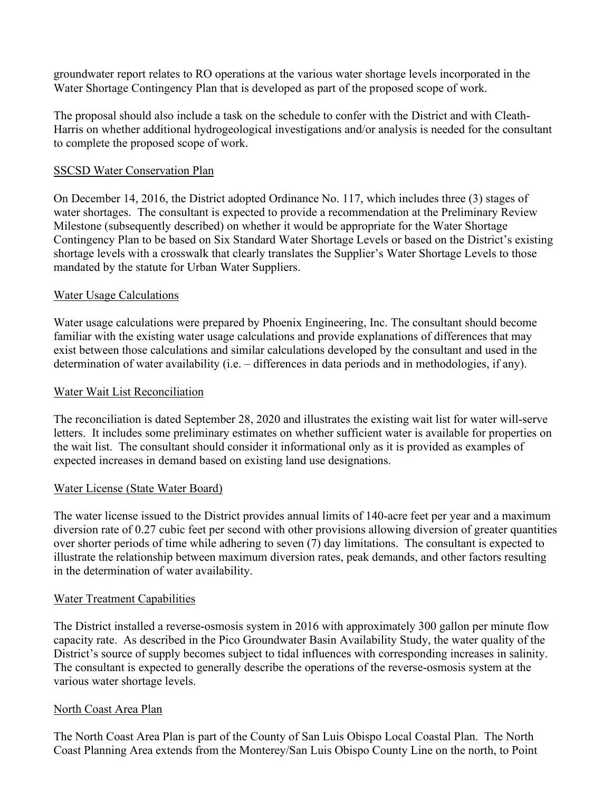groundwater report relates to RO operations at the various water shortage levels incorporated in the Water Shortage Contingency Plan that is developed as part of the proposed scope of work.

The proposal should also include a task on the schedule to confer with the District and with Cleath-Harris on whether additional hydrogeological investigations and/or analysis is needed for the consultant to complete the proposed scope of work.

### SSCSD Water Conservation Plan

On December 14, 2016, the District adopted Ordinance No. 117, which includes three (3) stages of water shortages. The consultant is expected to provide a recommendation at the Preliminary Review Milestone (subsequently described) on whether it would be appropriate for the Water Shortage Contingency Plan to be based on Six Standard Water Shortage Levels or based on the District's existing shortage levels with a crosswalk that clearly translates the Supplier's Water Shortage Levels to those mandated by the statute for Urban Water Suppliers.

### Water Usage Calculations

Water usage calculations were prepared by Phoenix Engineering, Inc. The consultant should become familiar with the existing water usage calculations and provide explanations of differences that may exist between those calculations and similar calculations developed by the consultant and used in the determination of water availability (i.e. – differences in data periods and in methodologies, if any).

### Water Wait List Reconciliation

The reconciliation is dated September 28, 2020 and illustrates the existing wait list for water will-serve letters. It includes some preliminary estimates on whether sufficient water is available for properties on the wait list. The consultant should consider it informational only as it is provided as examples of expected increases in demand based on existing land use designations.

#### Water License (State Water Board)

The water license issued to the District provides annual limits of 140-acre feet per year and a maximum diversion rate of 0.27 cubic feet per second with other provisions allowing diversion of greater quantities over shorter periods of time while adhering to seven (7) day limitations. The consultant is expected to illustrate the relationship between maximum diversion rates, peak demands, and other factors resulting in the determination of water availability.

#### Water Treatment Capabilities

The District installed a reverse-osmosis system in 2016 with approximately 300 gallon per minute flow capacity rate. As described in the Pico Groundwater Basin Availability Study, the water quality of the District's source of supply becomes subject to tidal influences with corresponding increases in salinity. The consultant is expected to generally describe the operations of the reverse-osmosis system at the various water shortage levels.

#### North Coast Area Plan

The North Coast Area Plan is part of the County of San Luis Obispo Local Coastal Plan. The North Coast Planning Area extends from the Monterey/San Luis Obispo County Line on the north, to Point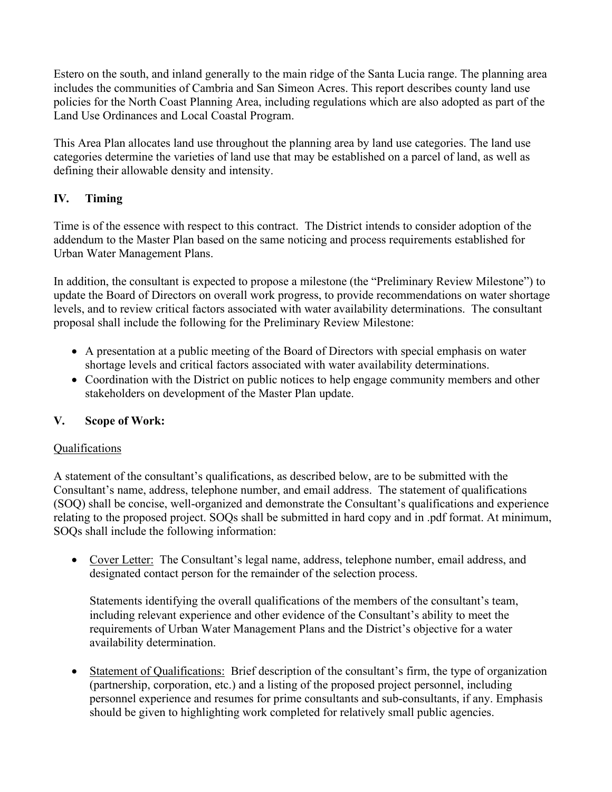Estero on the south, and inland generally to the main ridge of the Santa Lucia range. The planning area includes the communities of Cambria and San Simeon Acres. This report describes county land use policies for the North Coast Planning Area, including regulations which are also adopted as part of the Land Use Ordinances and Local Coastal Program.

This Area Plan allocates land use throughout the planning area by land use categories. The land use categories determine the varieties of land use that may be established on a parcel of land, as well as defining their allowable density and intensity.

# **IV. Timing**

Time is of the essence with respect to this contract. The District intends to consider adoption of the addendum to the Master Plan based on the same noticing and process requirements established for Urban Water Management Plans.

In addition, the consultant is expected to propose a milestone (the "Preliminary Review Milestone") to update the Board of Directors on overall work progress, to provide recommendations on water shortage levels, and to review critical factors associated with water availability determinations. The consultant proposal shall include the following for the Preliminary Review Milestone:

- A presentation at a public meeting of the Board of Directors with special emphasis on water shortage levels and critical factors associated with water availability determinations.
- Coordination with the District on public notices to help engage community members and other stakeholders on development of the Master Plan update.

# **V. Scope of Work:**

# Qualifications

A statement of the consultant's qualifications, as described below, are to be submitted with the Consultant's name, address, telephone number, and email address. The statement of qualifications (SOQ) shall be concise, well-organized and demonstrate the Consultant's qualifications and experience relating to the proposed project. SOQs shall be submitted in hard copy and in .pdf format. At minimum, SOQs shall include the following information:

• Cover Letter: The Consultant's legal name, address, telephone number, email address, and designated contact person for the remainder of the selection process.

Statements identifying the overall qualifications of the members of the consultant's team, including relevant experience and other evidence of the Consultant's ability to meet the requirements of Urban Water Management Plans and the District's objective for a water availability determination.

• Statement of Qualifications: Brief description of the consultant's firm, the type of organization (partnership, corporation, etc.) and a listing of the proposed project personnel, including personnel experience and resumes for prime consultants and sub-consultants, if any. Emphasis should be given to highlighting work completed for relatively small public agencies.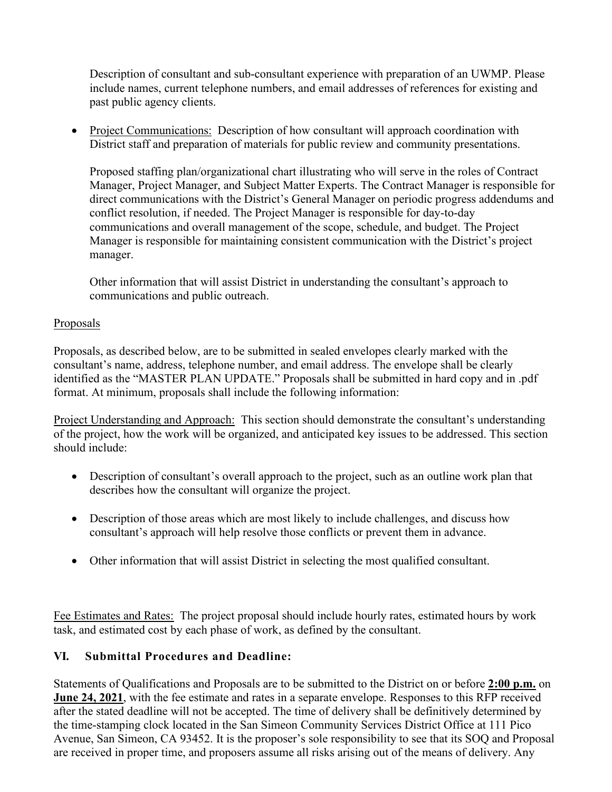Description of consultant and sub-consultant experience with preparation of an UWMP. Please include names, current telephone numbers, and email addresses of references for existing and past public agency clients.

• Project Communications: Description of how consultant will approach coordination with District staff and preparation of materials for public review and community presentations.

Proposed staffing plan/organizational chart illustrating who will serve in the roles of Contract Manager, Project Manager, and Subject Matter Experts. The Contract Manager is responsible for direct communications with the District's General Manager on periodic progress addendums and conflict resolution, if needed. The Project Manager is responsible for day-to-day communications and overall management of the scope, schedule, and budget. The Project Manager is responsible for maintaining consistent communication with the District's project manager.

Other information that will assist District in understanding the consultant's approach to communications and public outreach.

### Proposals

Proposals, as described below, are to be submitted in sealed envelopes clearly marked with the consultant's name, address, telephone number, and email address. The envelope shall be clearly identified as the "MASTER PLAN UPDATE." Proposals shall be submitted in hard copy and in .pdf format. At minimum, proposals shall include the following information:

Project Understanding and Approach: This section should demonstrate the consultant's understanding of the project, how the work will be organized, and anticipated key issues to be addressed. This section should include:

- Description of consultant's overall approach to the project, such as an outline work plan that describes how the consultant will organize the project.
- Description of those areas which are most likely to include challenges, and discuss how consultant's approach will help resolve those conflicts or prevent them in advance.
- Other information that will assist District in selecting the most qualified consultant.

Fee Estimates and Rates: The project proposal should include hourly rates, estimated hours by work task, and estimated cost by each phase of work, as defined by the consultant.

### **VI. Submittal Procedures and Deadline:**

Statements of Qualifications and Proposals are to be submitted to the District on or before **2:00 p.m.** on **June 24, 2021**, with the fee estimate and rates in a separate envelope. Responses to this RFP received after the stated deadline will not be accepted. The time of delivery shall be definitively determined by the time-stamping clock located in the San Simeon Community Services District Office at 111 Pico Avenue, San Simeon, CA 93452. It is the proposer's sole responsibility to see that its SOQ and Proposal are received in proper time, and proposers assume all risks arising out of the means of delivery. Any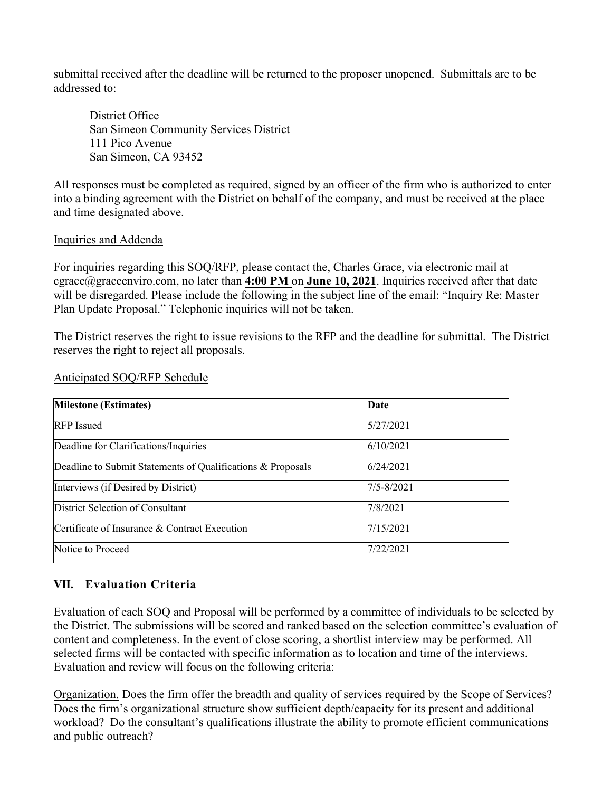submittal received after the deadline will be returned to the proposer unopened. Submittals are to be addressed to:

District Office San Simeon Community Services District 111 Pico Avenue San Simeon, CA 93452

All responses must be completed as required, signed by an officer of the firm who is authorized to enter into a binding agreement with the District on behalf of the company, and must be received at the place and time designated above.

### Inquiries and Addenda

For inquiries regarding this SOQ/RFP, please contact the, Charles Grace, via electronic mail at cgrace@graceenviro.com, no later than **4:00 PM** on **June 10, 2021**. Inquiries received after that date will be disregarded. Please include the following in the subject line of the email: "Inquiry Re: Master Plan Update Proposal." Telephonic inquiries will not be taken.

The District reserves the right to issue revisions to the RFP and the deadline for submittal. The District reserves the right to reject all proposals.

| <b>Milestone (Estimates)</b>                                | Date           |  |
|-------------------------------------------------------------|----------------|--|
| <b>RFP</b> Issued                                           | 5/27/2021      |  |
| Deadline for Clarifications/Inquiries                       | 6/10/2021      |  |
| Deadline to Submit Statements of Qualifications & Proposals | 6/24/2021      |  |
| Interviews (if Desired by District)                         | $7/5 - 8/2021$ |  |
| District Selection of Consultant                            | 7/8/2021       |  |
| Certificate of Insurance & Contract Execution               | 7/15/2021      |  |
| Notice to Proceed                                           | 7/22/2021      |  |

#### Anticipated SOQ/RFP Schedule

# **VII. Evaluation Criteria**

Evaluation of each SOQ and Proposal will be performed by a committee of individuals to be selected by the District. The submissions will be scored and ranked based on the selection committee's evaluation of content and completeness. In the event of close scoring, a shortlist interview may be performed. All selected firms will be contacted with specific information as to location and time of the interviews. Evaluation and review will focus on the following criteria:

Organization. Does the firm offer the breadth and quality of services required by the Scope of Services? Does the firm's organizational structure show sufficient depth/capacity for its present and additional workload? Do the consultant's qualifications illustrate the ability to promote efficient communications and public outreach?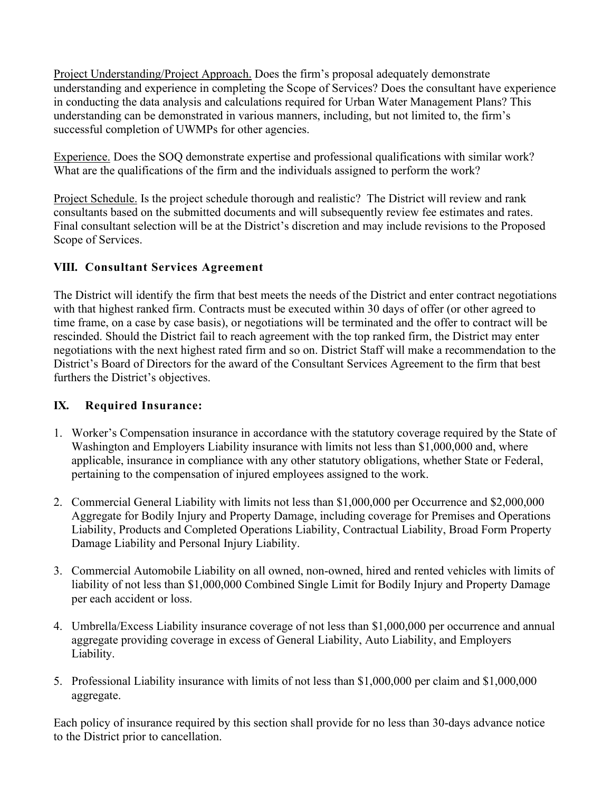Project Understanding/Project Approach. Does the firm's proposal adequately demonstrate understanding and experience in completing the Scope of Services? Does the consultant have experience in conducting the data analysis and calculations required for Urban Water Management Plans? This understanding can be demonstrated in various manners, including, but not limited to, the firm's successful completion of UWMPs for other agencies.

Experience. Does the SOQ demonstrate expertise and professional qualifications with similar work? What are the qualifications of the firm and the individuals assigned to perform the work?

Project Schedule. Is the project schedule thorough and realistic? The District will review and rank consultants based on the submitted documents and will subsequently review fee estimates and rates. Final consultant selection will be at the District's discretion and may include revisions to the Proposed Scope of Services.

# **VIII. Consultant Services Agreement**

The District will identify the firm that best meets the needs of the District and enter contract negotiations with that highest ranked firm. Contracts must be executed within 30 days of offer (or other agreed to time frame, on a case by case basis), or negotiations will be terminated and the offer to contract will be rescinded. Should the District fail to reach agreement with the top ranked firm, the District may enter negotiations with the next highest rated firm and so on. District Staff will make a recommendation to the District's Board of Directors for the award of the Consultant Services Agreement to the firm that best furthers the District's objectives.

# **IX. Required Insurance:**

- 1. Worker's Compensation insurance in accordance with the statutory coverage required by the State of Washington and Employers Liability insurance with limits not less than \$1,000,000 and, where applicable, insurance in compliance with any other statutory obligations, whether State or Federal, pertaining to the compensation of injured employees assigned to the work.
- 2. Commercial General Liability with limits not less than \$1,000,000 per Occurrence and \$2,000,000 Aggregate for Bodily Injury and Property Damage, including coverage for Premises and Operations Liability, Products and Completed Operations Liability, Contractual Liability, Broad Form Property Damage Liability and Personal Injury Liability.
- 3. Commercial Automobile Liability on all owned, non-owned, hired and rented vehicles with limits of liability of not less than \$1,000,000 Combined Single Limit for Bodily Injury and Property Damage per each accident or loss.
- 4. Umbrella/Excess Liability insurance coverage of not less than \$1,000,000 per occurrence and annual aggregate providing coverage in excess of General Liability, Auto Liability, and Employers Liability.
- 5. Professional Liability insurance with limits of not less than \$1,000,000 per claim and \$1,000,000 aggregate.

Each policy of insurance required by this section shall provide for no less than 30-days advance notice to the District prior to cancellation.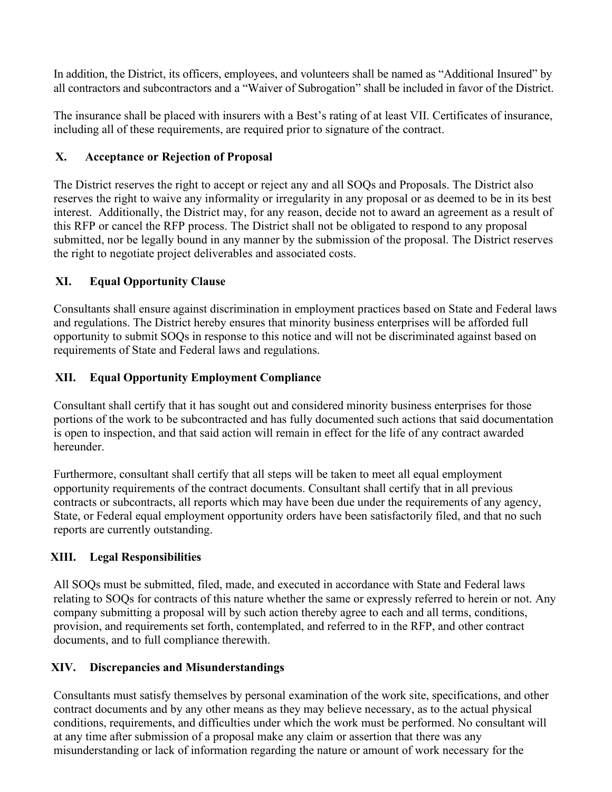In addition, the District, its officers, employees, and volunteers shall be named as "Additional Insured" by all contractors and subcontractors and a "Waiver of Subrogation" shall be included in favor of the District.

The insurance shall be placed with insurers with a Best's rating of at least VII. Certificates of insurance, including all of these requirements, are required prior to signature of the contract.

# **X. Acceptance or Rejection of Proposal**

The District reserves the right to accept or reject any and all SOQs and Proposals. The District also reserves the right to waive any informality or irregularity in any proposal or as deemed to be in its best interest. Additionally, the District may, for any reason, decide not to award an agreement as a result of this RFP or cancel the RFP process. The District shall not be obligated to respond to any proposal submitted, nor be legally bound in any manner by the submission of the proposal. The District reserves the right to negotiate project deliverables and associated costs.

# **XI. Equal Opportunity Clause**

Consultants shall ensure against discrimination in employment practices based on State and Federal laws and regulations. The District hereby ensures that minority business enterprises will be afforded full opportunity to submit SOQs in response to this notice and will not be discriminated against based on requirements of State and Federal laws and regulations.

# **XII. Equal Opportunity Employment Compliance**

Consultant shall certify that it has sought out and considered minority business enterprises for those portions of the work to be subcontracted and has fully documented such actions that said documentation is open to inspection, and that said action will remain in effect for the life of any contract awarded hereunder.

Furthermore, consultant shall certify that all steps will be taken to meet all equal employment opportunity requirements of the contract documents. Consultant shall certify that in all previous contracts or subcontracts, all reports which may have been due under the requirements of any agency, State, or Federal equal employment opportunity orders have been satisfactorily filed, and that no such reports are currently outstanding.

# **XIII. Legal Responsibilities**

All SOQs must be submitted, filed, made, and executed in accordance with State and Federal laws relating to SOQs for contracts of this nature whether the same or expressly referred to herein or not. Any company submitting a proposal will by such action thereby agree to each and all terms, conditions, provision, and requirements set forth, contemplated, and referred to in the RFP, and other contract documents, and to full compliance therewith.

# **XIV. Discrepancies and Misunderstandings**

Consultants must satisfy themselves by personal examination of the work site, specifications, and other contract documents and by any other means as they may believe necessary, as to the actual physical conditions, requirements, and difficulties under which the work must be performed. No consultant will at any time after submission of a proposal make any claim or assertion that there was any misunderstanding or lack of information regarding the nature or amount of work necessary for the